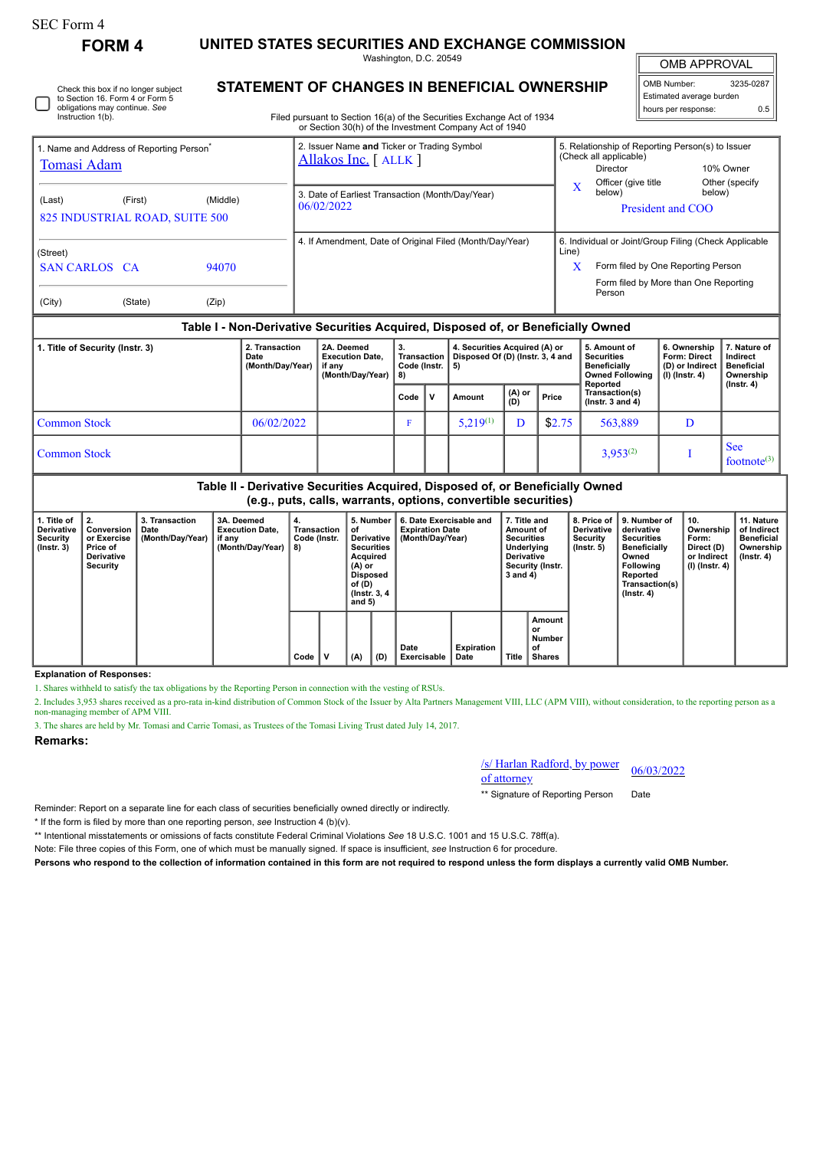| SEC Form 4 |
|------------|
|------------|

Instruction 1(b).

Check this box if no longer subject to Section 16. Form 4 or Form 5 obligations may continue. *See*

**FORM 4 UNITED STATES SECURITIES AND EXCHANGE COMMISSION** Washington, D.C. 20549

OMB APPROVAL

 $\mathbb{I}$ 

| OMB Number:              | 3235-0287 |  |  |  |  |  |  |  |  |  |
|--------------------------|-----------|--|--|--|--|--|--|--|--|--|
| Estimated average burden |           |  |  |  |  |  |  |  |  |  |
| hours per response:      | 0.5       |  |  |  |  |  |  |  |  |  |

Filed pursuant to Section 16(a) of the Securities Exchange Act of 1934 or Section 30(h) of the Investment Company Act of 1940

| 1. Name and Address of Reporting Person<br>Tomasi Adam                                                                                                                                                                                                                                                                                                                                                                                                                                              |         |                |  | 2. Issuer Name and Ticker or Trading Symbol<br>Allakos Inc. [ALLK] |  |                                                          |                                                                                                                                                              | 5. Relationship of Reporting Person(s) to Issuer<br>(Check all applicable)<br>10% Owner<br>Director |  |  |  |
|-----------------------------------------------------------------------------------------------------------------------------------------------------------------------------------------------------------------------------------------------------------------------------------------------------------------------------------------------------------------------------------------------------------------------------------------------------------------------------------------------------|---------|----------------|--|--------------------------------------------------------------------|--|----------------------------------------------------------|--------------------------------------------------------------------------------------------------------------------------------------------------------------|-----------------------------------------------------------------------------------------------------|--|--|--|
| (Last)<br>825 INDUSTRIAL ROAD, SUITE 500                                                                                                                                                                                                                                                                                                                                                                                                                                                            | (First) | (Middle)       |  | 3. Date of Earliest Transaction (Month/Day/Year)<br>06/02/2022     |  |                                                          | $\mathbf X$                                                                                                                                                  | Officer (give title<br>Other (specify)<br>below)<br>below)<br>President and COO                     |  |  |  |
| (Street)<br><b>SAN CARLOS CA</b><br>(City)                                                                                                                                                                                                                                                                                                                                                                                                                                                          | (State) | 94070<br>(Zip) |  |                                                                    |  | 4. If Amendment, Date of Original Filed (Month/Day/Year) | 6. Individual or Joint/Group Filing (Check Applicable<br>Line)<br>X<br>Form filed by One Reporting Person<br>Form filed by More than One Reporting<br>Person |                                                                                                     |  |  |  |
| Table I - Non-Derivative Securities Acquired, Disposed of, or Beneficially Owned<br>4. Securities Acquired (A) or<br>6. Ownership<br>7. Nature of<br>2. Transaction<br>2A. Deemed<br>3.<br>5. Amount of<br>1. Title of Security (Instr. 3)<br>Disposed Of (D) (Instr. 3, 4 and<br><b>Transaction</b><br><b>Securities</b><br>Form: Direct<br><b>Execution Date.</b><br>Indirect<br>Date<br>(Month/Day/Year)<br>Code (Instr.<br>Beneficially<br>(D) or Indirect<br><b>Beneficial</b><br>if any<br>5) |         |                |  |                                                                    |  |                                                          |                                                                                                                                                              |                                                                                                     |  |  |  |

|                                                                                   | (Month/Day/Year)   if any | (Month/Day/Year)   8) | Code (Instr. 15) |     |               |               |        | Beneficially<br>Owned Following<br>Reported | (D) or Indirect<br>(I) (Instr. 4) | l Beneticial<br>Ownership<br>(Instr. 4) |  |  |
|-----------------------------------------------------------------------------------|---------------------------|-----------------------|------------------|-----|---------------|---------------|--------|---------------------------------------------|-----------------------------------|-----------------------------------------|--|--|
|                                                                                   |                           |                       | Code             | l v | Amount        | (A) or<br>(D) | Price  | Transaction(s)<br>( $lnstr. 3 and 4$ )      |                                   |                                         |  |  |
| <b>Common Stock</b>                                                               | 06/02/2022                |                       |                  |     | $5,219^{(1)}$ | D             | \$2.75 | 563,889                                     |                                   |                                         |  |  |
| <b>Common Stock</b>                                                               |                           |                       |                  |     |               |               |        | $3,953^{(2)}$                               |                                   | <b>See</b><br>footnote <sup>(3)</sup>   |  |  |
| Telefa II., Denizzative Censurities, Anguined, Diepened of an Depeticially Ounced |                           |                       |                  |     |               |               |        |                                             |                                   |                                         |  |  |

**Table II - Derivative Securities Acquired, Disposed of, or Beneficially Owned (e.g., puts, calls, warrants, options, convertible securities)**

| 1. Title of<br><b>Derivative</b><br><b>Security</b><br>$($ lnstr. 3 $)$ | 2.<br>Conversion<br>or Exercise<br>Price of<br><b>Derivative</b><br>Security | 3. Transaction<br>Date<br>(Month/Day/Year) | 3A. Deemed<br><b>Execution Date.</b><br>if any<br>(Month/Day/Year) | 4.<br>Transaction<br>Code (Instr.<br>8) |  | 5. Number<br>οf<br>Derivative  <br><b>Securities</b><br>Acquired<br>(A) or<br><b>Disposed</b><br>of (D)<br>(Instr. 3, 4)<br>and $5)$ |      | 6. Date Exercisable and<br><b>Expiration Date</b><br>(Month/Day/Year) |     | 7. Title and<br>Amount of<br><b>Securities</b><br>Underlying<br><b>Derivative</b><br>Security (Instr.<br>3 and 4) |                            | <b>Derivative</b><br><b>Security</b><br>(Insert. 5) | 8. Price of 19. Number of<br>derivative<br><b>Securities</b><br><b>Beneficially</b><br>Owned<br>Following<br>Reported<br>Transaction(s)<br>(Instr. 4) | 10.<br>Ownership<br>Form:<br>Direct (D)<br>or Indirect<br>(I) (Instr. 4) | 11. Nature<br>of Indirect<br><b>Beneficial</b><br>Ownership<br>(Instr. 4) |  |  |  |
|-------------------------------------------------------------------------|------------------------------------------------------------------------------|--------------------------------------------|--------------------------------------------------------------------|-----------------------------------------|--|--------------------------------------------------------------------------------------------------------------------------------------|------|-----------------------------------------------------------------------|-----|-------------------------------------------------------------------------------------------------------------------|----------------------------|-----------------------------------------------------|-------------------------------------------------------------------------------------------------------------------------------------------------------|--------------------------------------------------------------------------|---------------------------------------------------------------------------|--|--|--|
|                                                                         |                                                                              |                                            |                                                                    |                                         |  |                                                                                                                                      | Code |                                                                       | (A) | (D)                                                                                                               | Date<br><b>Exercisable</b> | Expiration<br>Date                                  | Title                                                                                                                                                 | Amount<br>or<br>Number<br>of<br><b>Shares</b>                            |                                                                           |  |  |  |

## **Explanation of Responses:**

1. Shares withheld to satisfy the tax obligations by the Reporting Person in connection with the vesting of RSUs.

2. Includes 3,953 shares received as a pro-rata in-kind distribution of Common Stock of the Issuer by Alta Partners Management VIII, LLC (APM VIII), without consideration, to the reporting person as a non-managing member of APM VIII.

3. The shares are held by Mr. Tomasi and Carrie Tomasi, as Trustees of the Tomasi Living Trust dated July 14, 2017.

**Remarks:**

/s/ Harlan Radford, by power of attorney 06/03/2022

\*\* Signature of Reporting Person Date

Reminder: Report on a separate line for each class of securities beneficially owned directly or indirectly.

\* If the form is filed by more than one reporting person, *see* Instruction 4 (b)(v).

\*\* Intentional misstatements or omissions of facts constitute Federal Criminal Violations *See* 18 U.S.C. 1001 and 15 U.S.C. 78ff(a).

Note: File three copies of this Form, one of which must be manually signed. If space is insufficient, *see* Instruction 6 for procedure.

**Persons who respond to the collection of information contained in this form are not required to respond unless the form displays a currently valid OMB Number.**